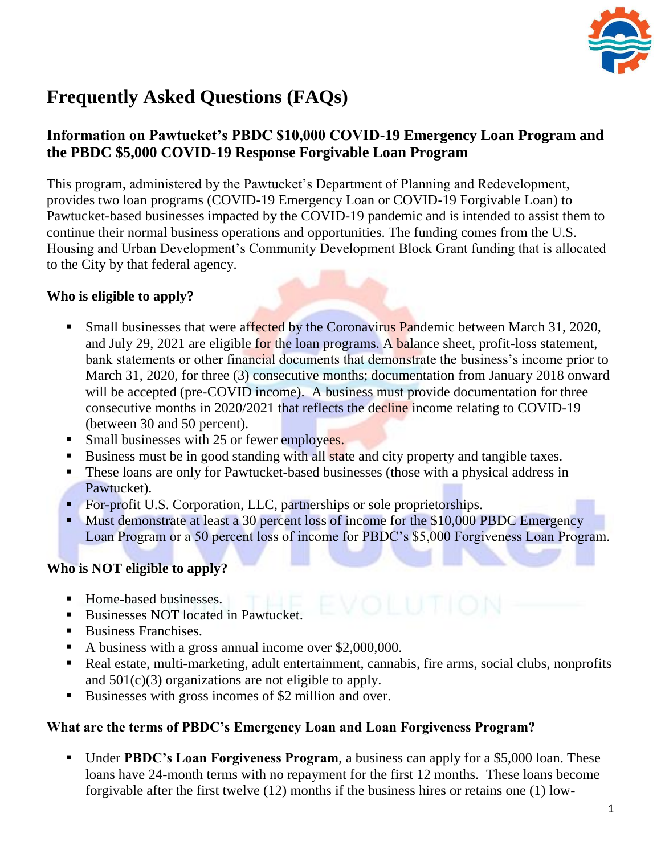

# **Frequently Asked Questions (FAQs)**

# **Information on Pawtucket's PBDC \$10,000 COVID-19 Emergency Loan Program and the PBDC \$5,000 COVID-19 Response Forgivable Loan Program**

This program, administered by the Pawtucket's Department of Planning and Redevelopment, provides two loan programs (COVID-19 Emergency Loan or COVID-19 Forgivable Loan) to Pawtucket-based businesses impacted by the COVID-19 pandemic and is intended to assist them to continue their normal business operations and opportunities. The funding comes from the U.S. Housing and Urban Development's Community Development Block Grant funding that is allocated to the City by that federal agency.

# **Who is eligible to apply?**

- Small businesses that were affected by the Coronavirus Pandemic between March 31, 2020, and July 29, 2021 are eligible for the loan programs. A balance sheet, profit-loss statement, bank statements or other financial documents that demonstrate the business's income prior to March 31, 2020, for three (3) consecutive months; documentation from January 2018 onward will be accepted (pre-COVID income). A business must provide documentation for three consecutive months in 2020/2021 that reflects the decline income relating to COVID-19 (between 30 and 50 percent).
- Small businesses with 25 or fewer employees.
- Business must be in good standing with all state and city property and tangible taxes.
- **These loans are only for Pawtucket-based businesses (those with a physical address in** Pawtucket).
- For-profit U.S. Corporation, LLC, partnerships or sole proprietorships.
- Must demonstrate at least a 30 percent loss of income for the \$10,000 PBDC Emergency Loan Program or a 50 percent loss of income for PBDC's \$5,000 Forgiveness Loan Program.

# **Who is NOT eligible to apply?**

- Home-based businesses.
- Businesses NOT located in Pawtucket.
- Business Franchises.
- A business with a gross annual income over \$2,000,000.
- Real estate, multi-marketing, adult entertainment, cannabis, fire arms, social clubs, nonprofits and  $501(c)(3)$  organizations are not eligible to apply.
- Businesses with gross incomes of \$2 million and over.

## **What are the terms of PBDC's Emergency Loan and Loan Forgiveness Program?**

 Under **PBDC's Loan Forgiveness Program**, a business can apply for a \$5,000 loan. These loans have 24-month terms with no repayment for the first 12 months. These loans become forgivable after the first twelve (12) months if the business hires or retains one (1) low-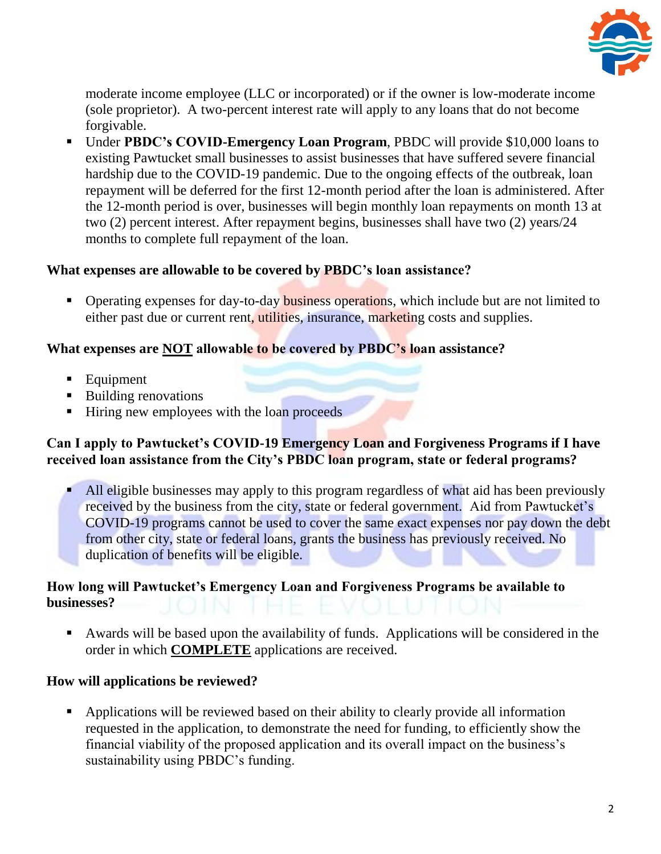

moderate income employee (LLC or incorporated) or if the owner is low-moderate income (sole proprietor). A two-percent interest rate will apply to any loans that do not become forgivable.

 Under **PBDC's COVID-Emergency Loan Program**, PBDC will provide \$10,000 loans to existing Pawtucket small businesses to assist businesses that have suffered severe financial hardship due to the COVID-19 pandemic. Due to the ongoing effects of the outbreak, loan repayment will be deferred for the first 12-month period after the loan is administered. After the 12-month period is over, businesses will begin monthly loan repayments on month 13 at two (2) percent interest. After repayment begins, businesses shall have two (2) years/24 months to complete full repayment of the loan.

#### **What expenses are allowable to be covered by PBDC's loan assistance?**

• Operating expenses for day-to-day **business operations**, which include but are not limited to either past due or current rent, utilities, insurance, marketing costs and supplies.

#### **What expenses are NOT allowable to be covered by PBDC's loan assistance?**

- **Equipment**
- Building renovations
- Hiring new employees with the loan proceeds

#### **Can I apply to Pawtucket's COVID-19 Emergency Loan and Forgiveness Programs if I have received loan assistance from the City's PBDC loan program, state or federal programs?**

All eligible businesses may apply to this program regardless of what aid has been previously received by the business from the city, state or federal government. Aid from Pawtucket's COVID-19 programs cannot be used to cover the same exact expenses nor pay down the debt from other city, state or federal loans, grants the business has previously received. No duplication of benefits will be eligible.

#### **How long will Pawtucket's Emergency Loan and Forgiveness Programs be available to businesses?**

 Awards will be based upon the availability of funds. Applications will be considered in the order in which **COMPLETE** applications are received.

#### **How will applications be reviewed?**

• Applications will be reviewed based on their ability to clearly provide all information requested in the application, to demonstrate the need for funding, to efficiently show the financial viability of the proposed application and its overall impact on the business's sustainability using PBDC's funding.